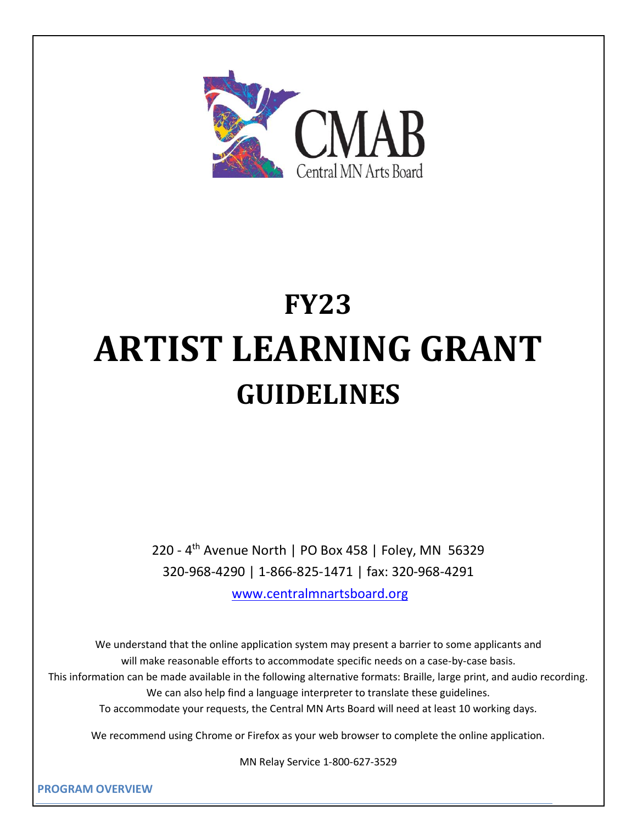

# **FY23 ARTIST LEARNING GRANT GUIDELINES**

220 - 4<sup>th</sup> Avenue North | PO Box 458 | Foley, MN 56329 320-968-4290 | 1-866-825-1471 | fax: 320-968-4291

[www.centralmnartsboard.org](http://www.centralmnartsboard.org/)

We understand that the online application system may present a barrier to some applicants and will make reasonable efforts to accommodate specific needs on a case-by-case basis. This information can be made available in the following alternative formats: Braille, large print, and audio recording. We can also help find a language interpreter to translate these guidelines. To accommodate your requests, the Central MN Arts Board will need at least 10 working days.

We recommend using Chrome or Firefox as your web browser to complete the online application.

MN Relay Service 1-800-627-3529

**PROGRAM OVERVIEW**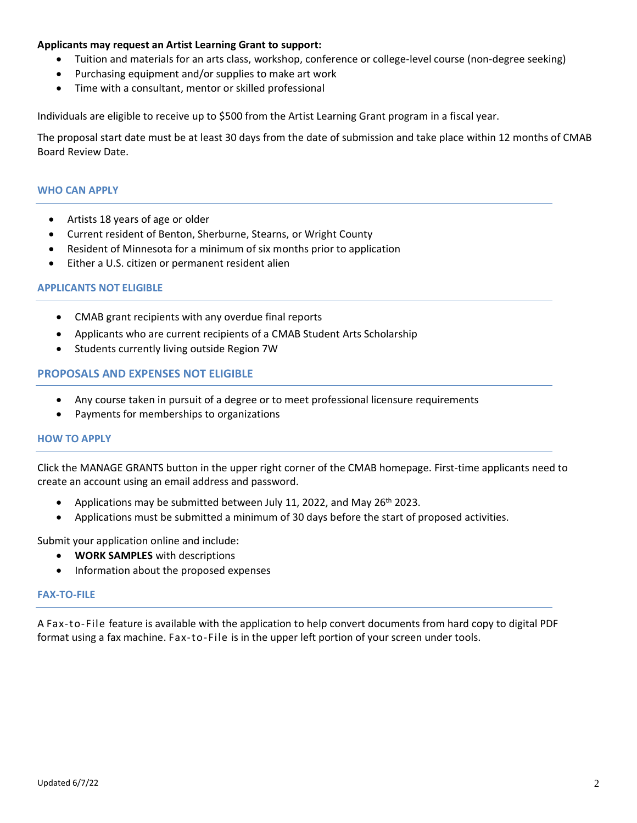# **Applicants may request an Artist Learning Grant to support:**

- Tuition and materials for an arts class, workshop, conference or college-level course (non-degree seeking)
- Purchasing equipment and/or supplies to make art work
- Time with a consultant, mentor or skilled professional

Individuals are eligible to receive up to \$500 from the Artist Learning Grant program in a fiscal year.

The proposal start date must be at least 30 days from the date of submission and take place within 12 months of CMAB Board Review Date.

# **WHO CAN APPLY**

- Artists 18 years of age or older
- Current resident of Benton, Sherburne, Stearns, or Wright County
- Resident of Minnesota for a minimum of six months prior to application
- Either a U.S. citizen or permanent resident alien

# **APPLICANTS NOT ELIGIBLE**

- CMAB grant recipients with any overdue final reports
- Applicants who are current recipients of a CMAB Student Arts Scholarship
- Students currently living outside Region 7W

# **PROPOSALS AND EXPENSES NOT ELIGIBLE**

- Any course taken in pursuit of a degree or to meet professional licensure requirements
- Payments for memberships to organizations

## **HOW TO APPLY**

Click the MANAGE GRANTS button in the upper right corner of the CMAB homepage. First-time applicants need to create an account using an email address and password.

- Applications may be submitted between July 11, 2022, and May 26<sup>th</sup> 2023.
- Applications must be submitted a minimum of 30 days before the start of proposed activities.

Submit your application online and include:

- **WORK SAMPLES** with descriptions
- Information about the proposed expenses

#### **FAX-TO-FILE**

A Fax-to-File feature is available with the application to help convert documents from hard copy to digital PDF format using a fax machine. Fax-to-File is in the upper left portion of your screen under tools.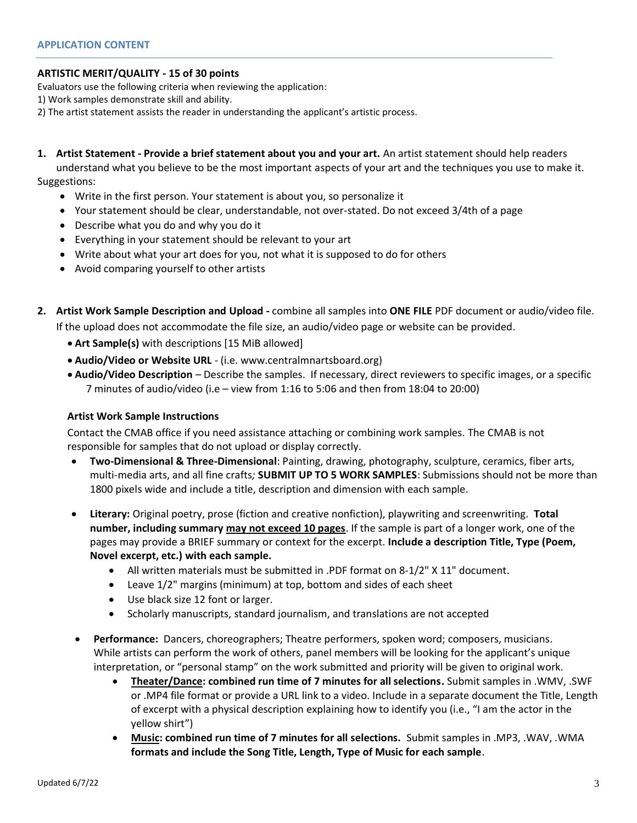# **ARTISTIC MERIT/QUALITY - 15 of 30 points**

Evaluators use the following criteria when reviewing the application:

1) Work samples demonstrate skill and ability.

2) The artist statement assists the reader in understanding the applicant's artistic process.

# **1. Artist Statement - Provide a brief statement about you and your art.** An artist statement should help readers

understand what you believe to be the most important aspects of your art and the techniques you use to make it. Suggestions:

- Write in the first person. Your statement is about you, so personalize it
- Your statement should be clear, understandable, not over-stated. Do not exceed 3/4th of a page
- Describe what you do and why you do it
- Everything in your statement should be relevant to your art
- Write about what your art does for you, not what it is supposed to do for others
- Avoid comparing yourself to other artists
- **2. Artist Work Sample Description and Upload -** combine all samples into **ONE FILE** PDF document or audio/video file.

If the upload does not accommodate the file size, an audio/video page or website can be provided.

- **Art Sample(s)** with descriptions [15 MiB allowed]
- **Audio/Video or Website URL** (i.e. www.centralmnartsboard.org)
- **Audio/Video Description** Describe the samples. If necessary, direct reviewers to specific images, or a specific 7 minutes of audio/video (i.e – view from 1:16 to 5:06 and then from 18:04 to 20:00)

# **Artist Work Sample Instructions**

Contact the CMAB office if you need assistance attaching or combining work samples. The CMAB is not responsible for samples that do not upload or display correctly.

- **Two-Dimensional & Three-Dimensional**: Painting, drawing, photography, sculpture, ceramics, fiber arts, multi-media arts, and all fine crafts*;* **SUBMIT UP TO 5 WORK SAMPLES**: Submissions should not be more than 1800 pixels wide and include a title, description and dimension with each sample.
- **Literary:** Original poetry, prose (fiction and creative nonfiction), playwriting and screenwriting. **Total number, including summary may not exceed 10 pages**. If the sample is part of a longer work, one of the pages may provide a BRIEF summary or context for the excerpt. **Include a description Title, Type (Poem, Novel excerpt, etc.) with each sample.**
	- All written materials must be submitted in .PDF format on 8-1/2" X 11" document.
	- Leave 1/2" margins (minimum) at top, bottom and sides of each sheet
	- Use black size 12 font or larger.
	- Scholarly manuscripts, standard journalism, and translations are not accepted
- **Performance:** Dancers, choreographers; Theatre performers, spoken word; composers, musicians. While artists can perform the work of others, panel members will be looking for the applicant's unique interpretation, or "personal stamp" on the work submitted and priority will be given to original work.
	- **Theater/Dance: combined run time of 7 minutes for all selections.** Submit samples in .WMV, .SWF or .MP4 file format or provide a URL link to a video. Include in a separate document the Title, Length of excerpt with a physical description explaining how to identify you (i.e., "I am the actor in the yellow shirt")
	- **Music: combined run time of 7 minutes for all selections.** Submit samples in .MP3, .WAV, .WMA **formats and include the Song Title, Length, Type of Music for each sample**.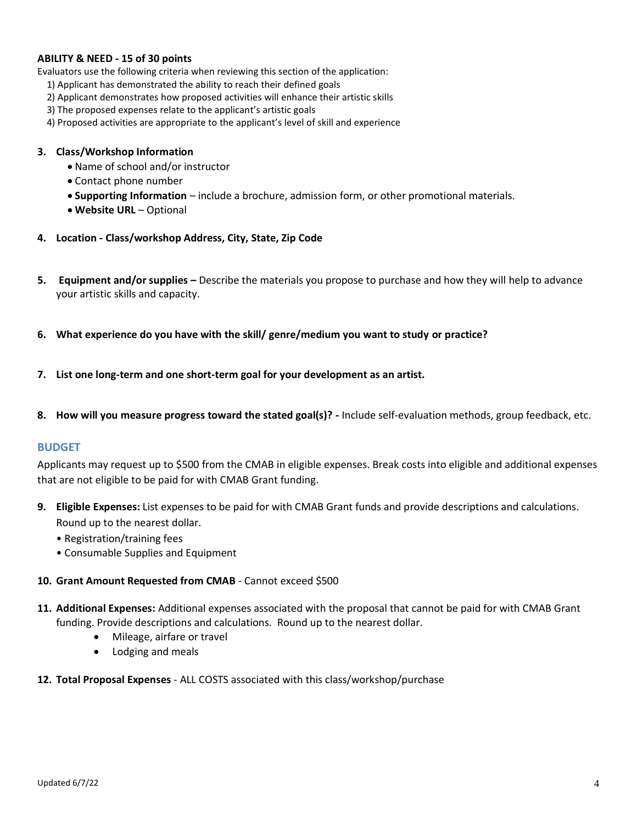# **ABILITY & NEED - 15 of 30 points**

Evaluators use the following criteria when reviewing this section of the application:

- 1) Applicant has demonstrated the ability to reach their defined goals
- 2) Applicant demonstrates how proposed activities will enhance their artistic skills
- 3) The proposed expenses relate to the applicant's artistic goals
- 4) Proposed activities are appropriate to the applicant's level of skill and experience

#### **3. Class/Workshop Information**

- Name of school and/or instructor
- Contact phone number
- **Supporting Information** include a brochure, admission form, or other promotional materials.
- **Website URL**  Optional
- **4. Location - Class/workshop Address, City, State, Zip Code**
- **5. Equipment and/or supplies –** Describe the materials you propose to purchase and how they will help to advance your artistic skills and capacity.
- **6. What experience do you have with the skill/ genre/medium you want to study or practice?**
- **7. List one long-term and one short-term goal for your development as an artist.**
- **8. How will you measure progress toward the stated goal(s)? -** Include self-evaluation methods, group feedback, etc.

#### **BUDGET**

Applicants may request up to \$500 from the CMAB in eligible expenses. Break costs into eligible and additional expenses that are not eligible to be paid for with CMAB Grant funding.

- **9. Eligible Expenses:** List expenses to be paid for with CMAB Grant funds and provide descriptions and calculations. Round up to the nearest dollar.
	- Registration/training fees
	- Consumable Supplies and Equipment

#### **10. Grant Amount Requested from CMAB** - Cannot exceed \$500

- **11. Additional Expenses:** Additional expenses associated with the proposal that cannot be paid for with CMAB Grant funding. Provide descriptions and calculations. Round up to the nearest dollar.
	- Mileage, airfare or travel
	- Lodging and meals

## **12. Total Proposal Expenses** - ALL COSTS associated with this class/workshop/purchase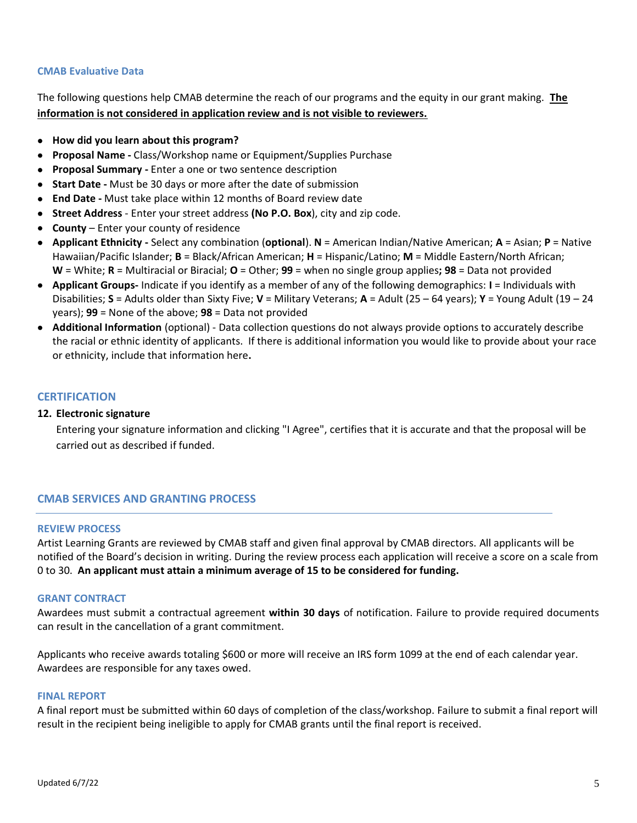# **CMAB Evaluative Data**

The following questions help CMAB determine the reach of our programs and the equity in our grant making. **The information is not considered in application review and is not visible to reviewers.**

- **How did you learn about this program?**
- **Proposal Name -** Class/Workshop name or Equipment/Supplies Purchase
- **Proposal Summary -** Enter a one or two sentence description
- **Start Date -** Must be 30 days or more after the date of submission
- **End Date -** Must take place within 12 months of Board review date
- **Street Address** Enter your street address **(No P.O. Box**), city and zip code.
- **County**  Enter your county of residence
- **Applicant Ethnicity -** Select any combination (**optional**). **N** = American Indian/Native American; **A** = Asian; **P** = Native Hawaiian/Pacific Islander; **B** = Black/African American; **H** = Hispanic/Latino; **M** = Middle Eastern/North African; **W** = White; **R** = Multiracial or Biracial; **O** = Other; **99** = when no single group applies**; 98** = Data not provided
- **Applicant Groups-** Indicate if you identify as a member of any of the following demographics: **I** = Individuals with Disabilities; **S** = Adults older than Sixty Five; **V** = Military Veterans; **A** = Adult (25 – 64 years); **Y** = Young Adult (19 – 24 years); **99** = None of the above; **98** = Data not provided
- **Additional Information** (optional) Data collection questions do not always provide options to accurately describe the racial or ethnic identity of applicants. If there is additional information you would like to provide about your race or ethnicity, include that information here**.**

# **CERTIFICATION**

## **12. Electronic signature**

Entering your signature information and clicking "I Agree", certifies that it is accurate and that the proposal will be carried out as described if funded.

# **CMAB SERVICES AND GRANTING PROCESS**

## **REVIEW PROCESS**

Artist Learning Grants are reviewed by CMAB staff and given final approval by CMAB directors. All applicants will be notified of the Board's decision in writing. During the review process each application will receive a score on a scale from 0 to 30. **An applicant must attain a minimum average of 15 to be considered for funding.**

## **GRANT CONTRACT**

Awardees must submit a contractual agreement **within 30 days** of notification. Failure to provide required documents can result in the cancellation of a grant commitment.

Applicants who receive awards totaling \$600 or more will receive an IRS form 1099 at the end of each calendar year. Awardees are responsible for any taxes owed.

#### **FINAL REPORT**

A final report must be submitted within 60 days of completion of the class/workshop. Failure to submit a final report will result in the recipient being ineligible to apply for CMAB grants until the final report is received.